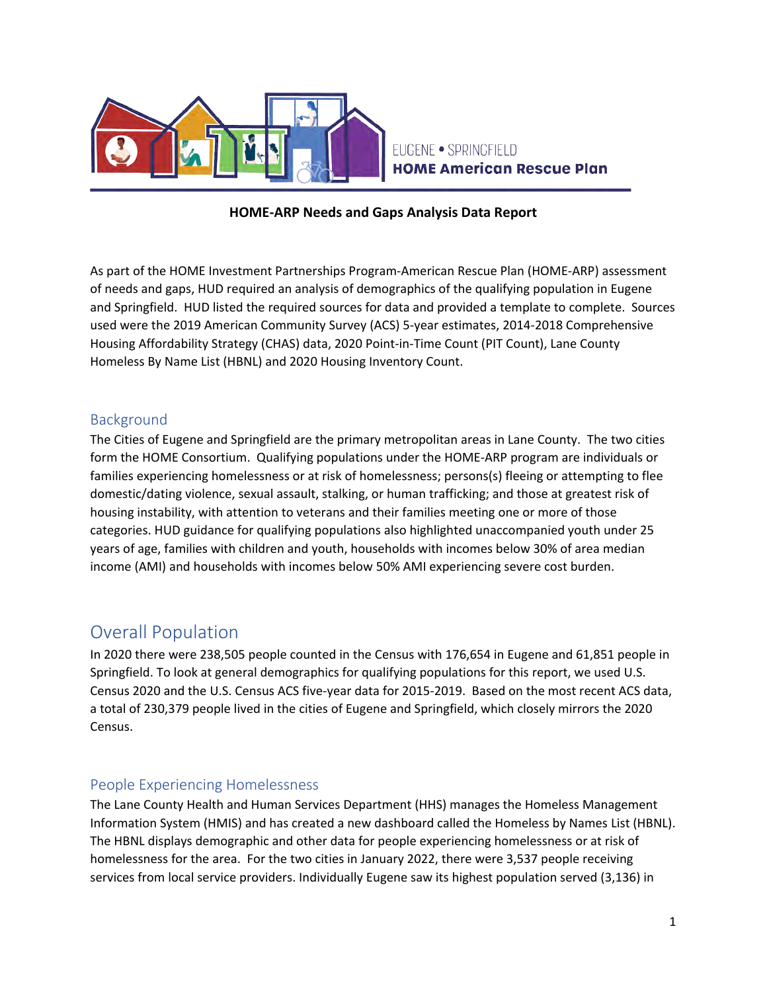

## EUGENE · SPRINGFIELD **HOME American Rescue Plan**

## **HOME-ARP Needs and Gaps Analysis Data Report**

As part of the HOME Investment Partnerships Program-American Rescue Plan (HOME-ARP) assessment of needs and gaps, HUD required an analysis of demographics of the qualifying population in Eugene and Springfield. HUD listed the required sources for data and provided a template to complete. Sources used were the 2019 American Community Survey (ACS) 5-year estimates, 2014-2018 Comprehensive Housing Affordability Strategy (CHAS) data, 2020 Point-in-Time Count (PIT Count), Lane County Homeless By Name List (HBNL) and 2020 Housing Inventory Count.

## Background

The Cities of Eugene and Springfield are the primary metropolitan areas in Lane County. The two cities form the HOME Consortium. Qualifying populations under the HOME-ARP program are individuals or families experiencing homelessness or at risk of homelessness; persons(s) fleeing or attempting to flee domestic/dating violence, sexual assault, stalking, or human trafficking; and those at greatest risk of housing instability, with attention to veterans and their families meeting one or more of those categories. HUD guidance for qualifying populations also highlighted unaccompanied youth under 25 years of age, families with children and youth, households with incomes below 30% of area median income (AMI) and households with incomes below 50% AMI experiencing severe cost burden.

## Overall Population

In 2020 there were 238,505 people counted in the Census with 176,654 in Eugene and 61,851 people in Springfield. To look at general demographics for qualifying populations for this report, we used U.S. Census 2020 and the U.S. Census ACS five-year data for 2015-2019. Based on the most recent ACS data, a total of 230,379 people lived in the cities of Eugene and Springfield, which closely mirrors the 2020 Census.

### People Experiencing Homelessness

The Lane County Health and Human Services Department (HHS) manages the Homeless Management Information System (HMIS) and has created a new dashboard called the Homeless by Names List (HBNL). The HBNL displays demographic and other data for people experiencing homelessness or at risk of homelessness for the area. For the two cities in January 2022, there were 3,537 people receiving services from local service providers. Individually Eugene saw its highest population served (3,136) in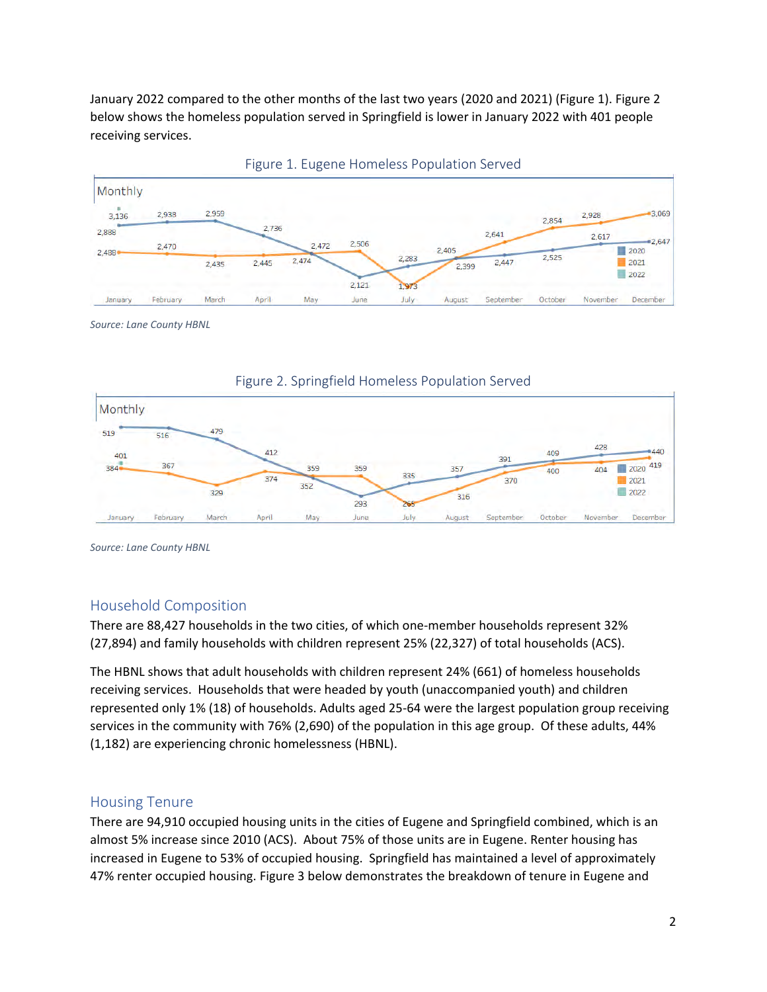January 2022 compared to the other months of the last two years (2020 and 2021) (Figure 1). Figure 2 below shows the homeless population served in Springfield is lower in January 2022 with 401 people receiving services.





*Source: Lane County HBNL*





*Source: Lane County HBNL*

### Household Composition

There are 88,427 households in the two cities, of which one-member households represent 32% (27,894) and family households with children represent 25% (22,327) of total households (ACS).

The HBNL shows that adult households with children represent 24% (661) of homeless households receiving services. Households that were headed by youth (unaccompanied youth) and children represented only 1% (18) of households. Adults aged 25-64 were the largest population group receiving services in the community with 76% (2,690) of the population in this age group. Of these adults, 44% (1,182) are experiencing chronic homelessness (HBNL).

#### Housing Tenure

There are 94,910 occupied housing units in the cities of Eugene and Springfield combined, which is an almost 5% increase since 2010 (ACS). About 75% of those units are in Eugene. Renter housing has increased in Eugene to 53% of occupied housing. Springfield has maintained a level of approximately 47% renter occupied housing. Figure 3 below demonstrates the breakdown of tenure in Eugene and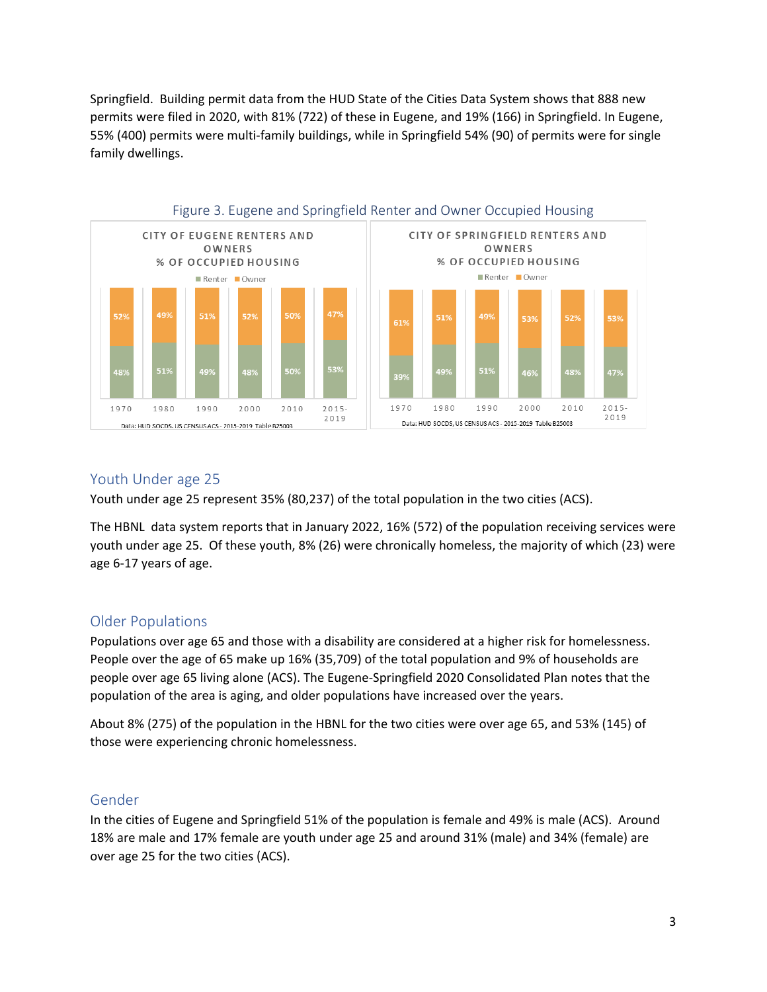Springfield. Building permit data from the HUD State of the Cities Data System shows that 888 new permits were filed in 2020, with 81% (722) of these in Eugene, and 19% (166) in Springfield. In Eugene, 55% (400) permits were multi-family buildings, while in Springfield 54% (90) of permits were for single family dwellings.



## Youth Under age 25

Youth under age 25 represent 35% (80,237) of the total population in the two cities (ACS).

The HBNL data system reports that in January 2022, 16% (572) of the population receiving services were youth under age 25. Of these youth, 8% (26) were chronically homeless, the majority of which (23) were age 6-17 years of age.

### Older Populations

Populations over age 65 and those with a disability are considered at a higher risk for homelessness. People over the age of 65 make up 16% (35,709) of the total population and 9% of households are people over age 65 living alone (ACS). The Eugene-Springfield 2020 Consolidated Plan notes that the population of the area is aging, and older populations have increased over the years.

About 8% (275) of the population in the HBNL for the two cities were over age 65, and 53% (145) of those were experiencing chronic homelessness.

### Gender

In the cities of Eugene and Springfield 51% of the population is female and 49% is male (ACS). Around 18% are male and 17% female are youth under age 25 and around 31% (male) and 34% (female) are over age 25 for the two cities (ACS).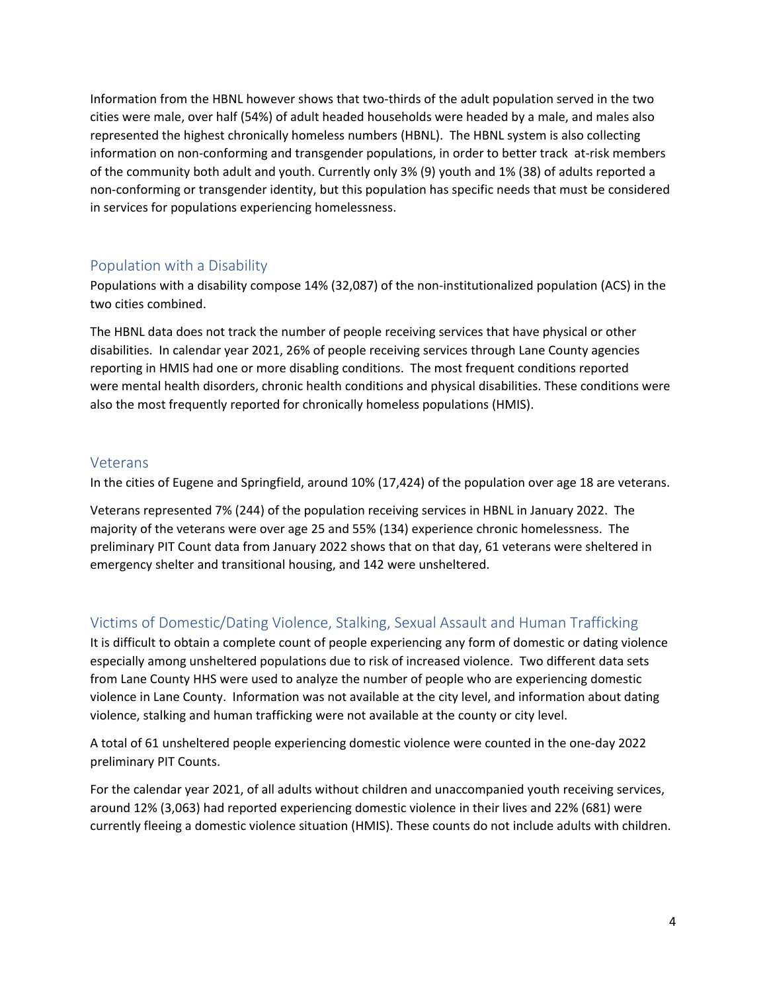Information from the HBNL however shows that two-thirds of the adult population served in the two cities were male, over half (54%) of adult headed households were headed by a male, and males also represented the highest chronically homeless numbers (HBNL). The HBNL system is also collecting information on non-conforming and transgender populations, in order to better track at-risk members of the community both adult and youth. Currently only 3% (9) youth and 1% (38) of adults reported a non-conforming or transgender identity, but this population has specific needs that must be considered in services for populations experiencing homelessness.

## Population with a Disability

Populations with a disability compose 14% (32,087) of the non-institutionalized population (ACS) in the two cities combined.

The HBNL data does not track the number of people receiving services that have physical or other disabilities. In calendar year 2021, 26% of people receiving services through Lane County agencies reporting in HMIS had one or more disabling conditions. The most frequent conditions reported were mental health disorders, chronic health conditions and physical disabilities. These conditions were also the most frequently reported for chronically homeless populations (HMIS).

## Veterans

In the cities of Eugene and Springfield, around 10% (17,424) of the population over age 18 are veterans.

Veterans represented 7% (244) of the population receiving services in HBNL in January 2022. The majority of the veterans were over age 25 and 55% (134) experience chronic homelessness. The preliminary PIT Count data from January 2022 shows that on that day, 61 veterans were sheltered in emergency shelter and transitional housing, and 142 were unsheltered.

## Victims of Domestic/Dating Violence, Stalking, Sexual Assault and Human Trafficking

It is difficult to obtain a complete count of people experiencing any form of domestic or dating violence especially among unsheltered populations due to risk of increased violence. Two different data sets from Lane County HHS were used to analyze the number of people who are experiencing domestic violence in Lane County. Information was not available at the city level, and information about dating violence, stalking and human trafficking were not available at the county or city level.

A total of 61 unsheltered people experiencing domestic violence were counted in the one-day 2022 preliminary PIT Counts.

For the calendar year 2021, of all adults without children and unaccompanied youth receiving services, around 12% (3,063) had reported experiencing domestic violence in their lives and 22% (681) were currently fleeing a domestic violence situation (HMIS). These counts do not include adults with children.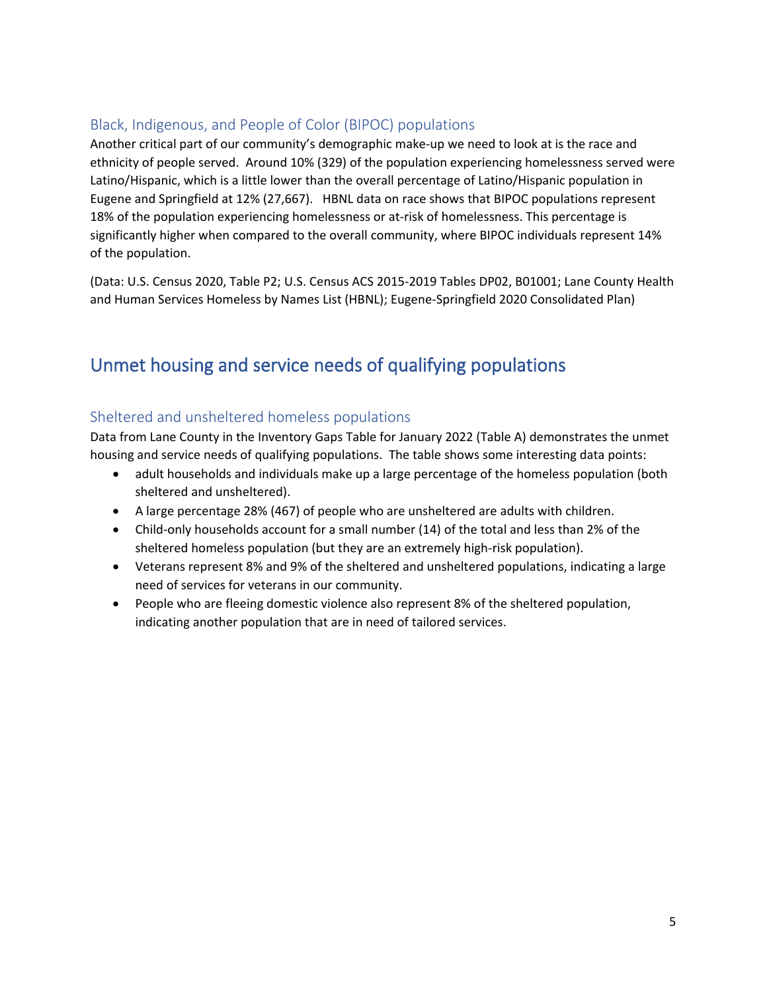## Black, Indigenous, and People of Color (BIPOC) populations

Another critical part of our community's demographic make-up we need to look at is the race and ethnicity of people served. Around 10% (329) of the population experiencing homelessness served were Latino/Hispanic, which is a little lower than the overall percentage of Latino/Hispanic population in Eugene and Springfield at 12% (27,667). HBNL data on race shows that BIPOC populations represent 18% of the population experiencing homelessness or at-risk of homelessness. This percentage is significantly higher when compared to the overall community, where BIPOC individuals represent 14% of the population.

(Data: U.S. Census 2020, Table P2; U.S. Census ACS 2015-2019 Tables DP02, B01001; Lane County Health and Human Services Homeless by Names List (HBNL); Eugene-Springfield 2020 Consolidated Plan)

# Unmet housing and service needs of qualifying populations

## Sheltered and unsheltered homeless populations

Data from Lane County in the Inventory Gaps Table for January 2022 (Table A) demonstrates the unmet housing and service needs of qualifying populations. The table shows some interesting data points:

- adult households and individuals make up a large percentage of the homeless population (both sheltered and unsheltered).
- A large percentage 28% (467) of people who are unsheltered are adults with children.
- Child-only households account for a small number (14) of the total and less than 2% of the sheltered homeless population (but they are an extremely high-risk population).
- Veterans represent 8% and 9% of the sheltered and unsheltered populations, indicating a large need of services for veterans in our community.
- People who are fleeing domestic violence also represent 8% of the sheltered population, indicating another population that are in need of tailored services.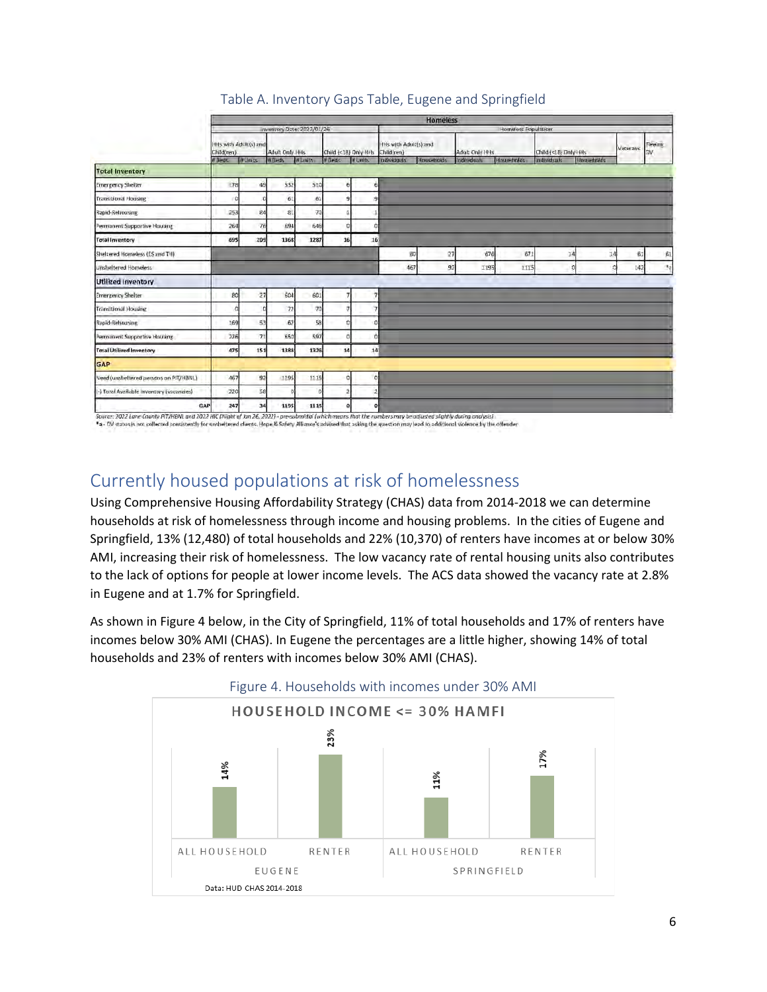|                                           | Homeless                            |                 |                 |                  |                      |                     |                                     |                 |                |              |                       |                    |          |                             |
|-------------------------------------------|-------------------------------------|-----------------|-----------------|------------------|----------------------|---------------------|-------------------------------------|-----------------|----------------|--------------|-----------------------|--------------------|----------|-----------------------------|
|                                           | inventory Date: 2022/01/26          |                 |                 |                  |                      | Homeless Population |                                     |                 |                |              |                       |                    |          |                             |
|                                           | HHs with Adolt(s) and<br>Child(ren) |                 | Adult Only Hits |                  | Child (<18) Only H/b |                     | HHs with Adult(s) and<br>Child(ren) |                 | Adult Only HHs |              | Child (<18) Drily HHs |                    | Veterans | <b>Thems</b>                |
|                                           | <b>E BADE</b>                       | <b>To Units</b> | <b>WBPds</b>    | <b>IN Linits</b> | <b>Milledi</b>       | IN LINES            | <b>Individuals</b>                  | Households      | Individuals    | Hous-finlife | Individuals           | <b>Housebuilds</b> |          |                             |
| <b>Total Inventory</b>                    |                                     |                 |                 |                  |                      |                     |                                     |                 |                |              |                       |                    |          |                             |
| <b>Emergency Shelter</b>                  | <b>78</b>                           | 49              | 532             | 510              |                      |                     |                                     |                 |                |              |                       |                    |          |                             |
| <b>Transitional Housing</b>               | o                                   | n               | 61              | $\tilde{\sigma}$ |                      |                     |                                     |                 |                |              |                       |                    |          |                             |
| Rapid-Retroosing                          | 253                                 | 24              | 31              | 70               |                      |                     |                                     |                 |                |              |                       |                    |          |                             |
| Permanent Supportive Housing              | 264                                 | 76              | 694             | 646              |                      |                     |                                     |                 |                |              |                       |                    |          |                             |
| <b>Total Inventory</b>                    | 695                                 | 209             | 1368            | 1287             |                      | 16<br>16            |                                     |                 |                |              |                       |                    |          |                             |
| Sheltered Homeless (ES and TH)            |                                     |                 |                 |                  |                      |                     |                                     | BO <sub>1</sub> | 27<br>676      | 671          | 34                    | 14                 | 61       | 啟                           |
| Unsheltered Homeless                      |                                     |                 |                 |                  |                      |                     |                                     | 467             | 92<br>1195     | 1115         | n                     |                    | 142      | $\mathcal{A}_{\mathcal{A}}$ |
| <b>Utilized Inventory</b>                 |                                     |                 |                 |                  |                      |                     |                                     |                 |                |              |                       |                    |          |                             |
| <b>Emergency Shelter</b>                  | 80                                  | 27              | 604             | 601              |                      |                     |                                     |                 |                |              |                       |                    |          |                             |
| <b>Transitional Housing</b>               |                                     |                 | 72              | 70               |                      |                     |                                     |                 |                |              |                       |                    |          |                             |
| Rapid-Rehousing                           | 1.69                                | 53              | 62              | 58               |                      |                     |                                     |                 |                |              |                       |                    |          |                             |
| Permanent Supportive Housing              | 226                                 | 7 <sup>1</sup>  | 650             | 597              |                      |                     |                                     |                 |                |              |                       |                    |          |                             |
| <b>Total Utilized Inventory</b>           | 475                                 | 151             | 1388            | 1326             |                      | 14<br>14            |                                     |                 |                |              |                       |                    |          |                             |
| GAP                                       |                                     |                 |                 |                  |                      |                     |                                     |                 |                |              |                       |                    |          |                             |
| Need (unsheltered persons on P/T/HBNL)    | 467                                 | 92              | 1195            | 1115             |                      |                     |                                     |                 |                |              |                       |                    |          |                             |
| (-) Total Available inventory (vacancies) | 220                                 | 58              |                 |                  |                      |                     |                                     |                 |                |              |                       |                    |          |                             |
| GAP                                       | 247                                 | 34              | 1195            | 1115             |                      |                     |                                     |                 |                |              |                       |                    |          |                             |

## Table A. Inventory Gaps Table, Eugene and Springfield

\*a - DV status is not collected consistently for unsheltered clients. Hope & Safety Albance's advised that asking the question may lead to additional violence by the offender

## Currently housed populations at risk of homelessness

Using Comprehensive Housing Affordability Strategy (CHAS) data from 2014-2018 we can determine households at risk of homelessness through income and housing problems. In the cities of Eugene and Springfield, 13% (12,480) of total households and 22% (10,370) of renters have incomes at or below 30% AMI, increasing their risk of homelessness. The low vacancy rate of rental housing units also contributes to the lack of options for people at lower income levels. The ACS data showed the vacancy rate at 2.8% in Eugene and at 1.7% for Springfield.

As shown in Figure 4 below, in the City of Springfield, 11% of total households and 17% of renters have incomes below 30% AMI (CHAS). In Eugene the percentages are a little higher, showing 14% of total households and 23% of renters with incomes below 30% AMI (CHAS).

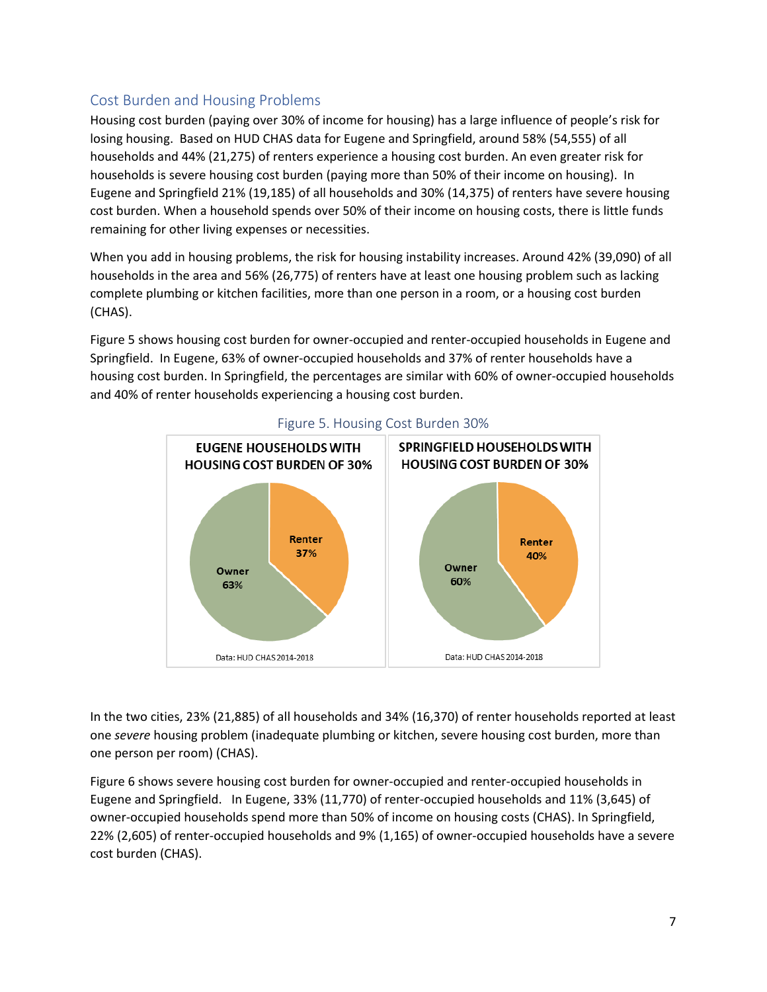## Cost Burden and Housing Problems

Housing cost burden (paying over 30% of income for housing) has a large influence of people's risk for losing housing. Based on HUD CHAS data for Eugene and Springfield, around 58% (54,555) of all households and 44% (21,275) of renters experience a housing cost burden. An even greater risk for households is severe housing cost burden (paying more than 50% of their income on housing). In Eugene and Springfield 21% (19,185) of all households and 30% (14,375) of renters have severe housing cost burden. When a household spends over 50% of their income on housing costs, there is little funds remaining for other living expenses or necessities.

When you add in housing problems, the risk for housing instability increases. Around 42% (39,090) of all households in the area and 56% (26,775) of renters have at least one housing problem such as lacking complete plumbing or kitchen facilities, more than one person in a room, or a housing cost burden (CHAS).

Figure 5 shows housing cost burden for owner-occupied and renter-occupied households in Eugene and Springfield. In Eugene, 63% of owner-occupied households and 37% of renter households have a housing cost burden. In Springfield, the percentages are similar with 60% of owner-occupied households and 40% of renter households experiencing a housing cost burden.



Figure 5. Housing Cost Burden 30%

In the two cities, 23% (21,885) of all households and 34% (16,370) of renter households reported at least one *severe* housing problem (inadequate plumbing or kitchen, severe housing cost burden, more than one person per room) (CHAS).

Figure 6 shows severe housing cost burden for owner-occupied and renter-occupied households in Eugene and Springfield. In Eugene, 33% (11,770) of renter-occupied households and 11% (3,645) of owner-occupied households spend more than 50% of income on housing costs (CHAS). In Springfield, 22% (2,605) of renter-occupied households and 9% (1,165) of owner-occupied households have a severe cost burden (CHAS).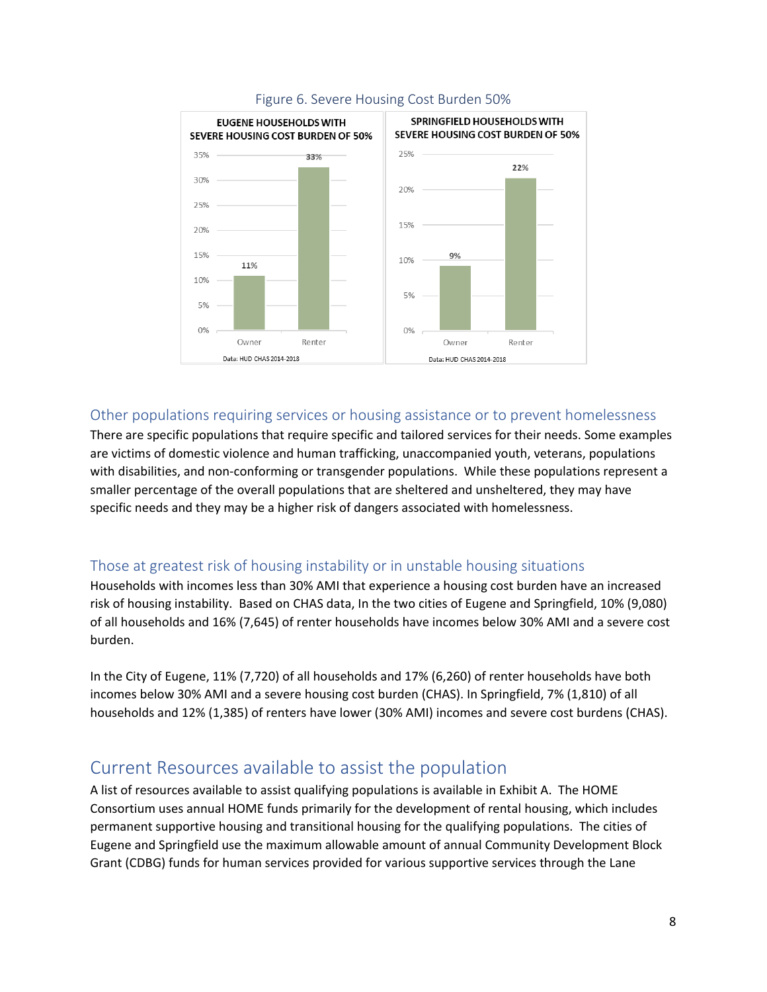

### Figure 6. Severe Housing Cost Burden 50%

## Other populations requiring services or housing assistance or to prevent homelessness

There are specific populations that require specific and tailored services for their needs. Some examples are victims of domestic violence and human trafficking, unaccompanied youth, veterans, populations with disabilities, and non-conforming or transgender populations. While these populations represent a smaller percentage of the overall populations that are sheltered and unsheltered, they may have specific needs and they may be a higher risk of dangers associated with homelessness.

## Those at greatest risk of housing instability or in unstable housing situations

Households with incomes less than 30% AMI that experience a housing cost burden have an increased risk of housing instability. Based on CHAS data, In the two cities of Eugene and Springfield, 10% (9,080) of all households and 16% (7,645) of renter households have incomes below 30% AMI and a severe cost burden.

In the City of Eugene, 11% (7,720) of all households and 17% (6,260) of renter households have both incomes below 30% AMI and a severe housing cost burden (CHAS). In Springfield, 7% (1,810) of all households and 12% (1,385) of renters have lower (30% AMI) incomes and severe cost burdens (CHAS).

## Current Resources available to assist the population

A list of resources available to assist qualifying populations is available in Exhibit A. The HOME Consortium uses annual HOME funds primarily for the development of rental housing, which includes permanent supportive housing and transitional housing for the qualifying populations. The cities of Eugene and Springfield use the maximum allowable amount of annual Community Development Block Grant (CDBG) funds for human services provided for various supportive services through the Lane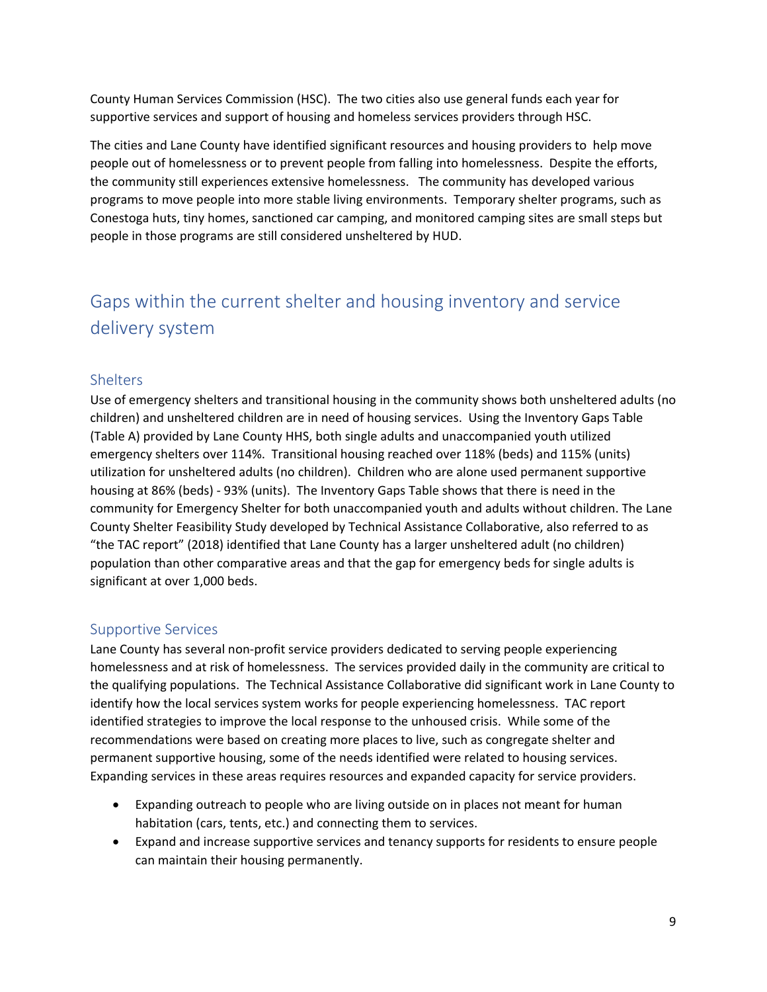County Human Services Commission (HSC). The two cities also use general funds each year for supportive services and support of housing and homeless services providers through HSC.

The cities and Lane County have identified significant resources and housing providers to help move people out of homelessness or to prevent people from falling into homelessness. Despite the efforts, the community still experiences extensive homelessness. The community has developed various programs to move people into more stable living environments. Temporary shelter programs, such as Conestoga huts, tiny homes, sanctioned car camping, and monitored camping sites are small steps but people in those programs are still considered unsheltered by HUD.

# Gaps within the current shelter and housing inventory and service delivery system

## **Shelters**

Use of emergency shelters and transitional housing in the community shows both unsheltered adults (no children) and unsheltered children are in need of housing services. Using the Inventory Gaps Table (Table A) provided by Lane County HHS, both single adults and unaccompanied youth utilized emergency shelters over 114%. Transitional housing reached over 118% (beds) and 115% (units) utilization for unsheltered adults (no children). Children who are alone used permanent supportive housing at 86% (beds) - 93% (units). The Inventory Gaps Table shows that there is need in the community for Emergency Shelter for both unaccompanied youth and adults without children. The Lane County Shelter Feasibility Study developed by Technical Assistance Collaborative, also referred to as "the TAC report" (2018) identified that Lane County has a larger unsheltered adult (no children) population than other comparative areas and that the gap for emergency beds for single adults is significant at over 1,000 beds.

### Supportive Services

Lane County has several non-profit service providers dedicated to serving people experiencing homelessness and at risk of homelessness. The services provided daily in the community are critical to the qualifying populations. The Technical Assistance Collaborative did significant work in Lane County to identify how the local services system works for people experiencing homelessness. TAC report identified strategies to improve the local response to the unhoused crisis. While some of the recommendations were based on creating more places to live, such as congregate shelter and permanent supportive housing, some of the needs identified were related to housing services. Expanding services in these areas requires resources and expanded capacity for service providers.

- Expanding outreach to people who are living outside on in places not meant for human habitation (cars, tents, etc.) and connecting them to services.
- Expand and increase supportive services and tenancy supports for residents to ensure people can maintain their housing permanently.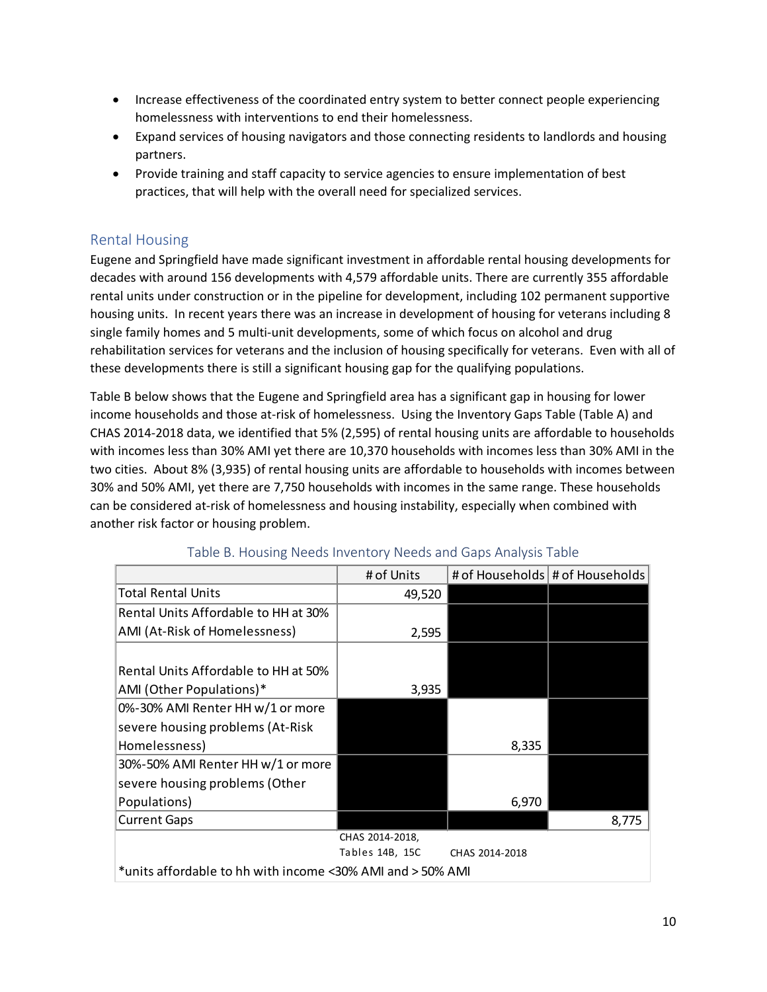- Increase effectiveness of the coordinated entry system to better connect people experiencing homelessness with interventions to end their homelessness.
- Expand services of housing navigators and those connecting residents to landlords and housing partners.
- Provide training and staff capacity to service agencies to ensure implementation of best practices, that will help with the overall need for specialized services.

## Rental Housing

Eugene and Springfield have made significant investment in affordable rental housing developments for decades with around 156 developments with 4,579 affordable units. There are currently 355 affordable rental units under construction or in the pipeline for development, including 102 permanent supportive housing units. In recent years there was an increase in development of housing for veterans including 8 single family homes and 5 multi-unit developments, some of which focus on alcohol and drug rehabilitation services for veterans and the inclusion of housing specifically for veterans. Even with all of these developments there is still a significant housing gap for the qualifying populations.

Table B below shows that the Eugene and Springfield area has a significant gap in housing for lower income households and those at-risk of homelessness. Using the Inventory Gaps Table (Table A) and CHAS 2014-2018 data, we identified that 5% (2,595) of rental housing units are affordable to households with incomes less than 30% AMI yet there are 10,370 households with incomes less than 30% AMI in the two cities. About 8% (3,935) of rental housing units are affordable to households with incomes between 30% and 50% AMI, yet there are 7,750 households with incomes in the same range. These households can be considered at-risk of homelessness and housing instability, especially when combined with another risk factor or housing problem.

|                                                            | # of Units      |                | # of Households # of Households |  |  |  |  |
|------------------------------------------------------------|-----------------|----------------|---------------------------------|--|--|--|--|
| <b>Total Rental Units</b>                                  | 49,520          |                |                                 |  |  |  |  |
| Rental Units Affordable to HH at 30%                       |                 |                |                                 |  |  |  |  |
| AMI (At-Risk of Homelessness)                              | 2,595           |                |                                 |  |  |  |  |
|                                                            |                 |                |                                 |  |  |  |  |
| Rental Units Affordable to HH at 50%                       |                 |                |                                 |  |  |  |  |
| AMI (Other Populations)*                                   | 3,935           |                |                                 |  |  |  |  |
| 0%-30% AMI Renter HH w/1 or more                           |                 |                |                                 |  |  |  |  |
| severe housing problems (At-Risk                           |                 |                |                                 |  |  |  |  |
| Homelessness)                                              |                 | 8,335          |                                 |  |  |  |  |
| 30%-50% AMI Renter HH w/1 or more                          |                 |                |                                 |  |  |  |  |
| severe housing problems (Other                             |                 |                |                                 |  |  |  |  |
| Populations)                                               |                 | 6,970          |                                 |  |  |  |  |
| <b>Current Gaps</b>                                        |                 |                | 8,775                           |  |  |  |  |
| CHAS 2014-2018,                                            |                 |                |                                 |  |  |  |  |
|                                                            | Tables 14B, 15C | CHAS 2014-2018 |                                 |  |  |  |  |
| *units affordable to hh with income <30% AMI and > 50% AMI |                 |                |                                 |  |  |  |  |

### Table B. Housing Needs Inventory Needs and Gaps Analysis Table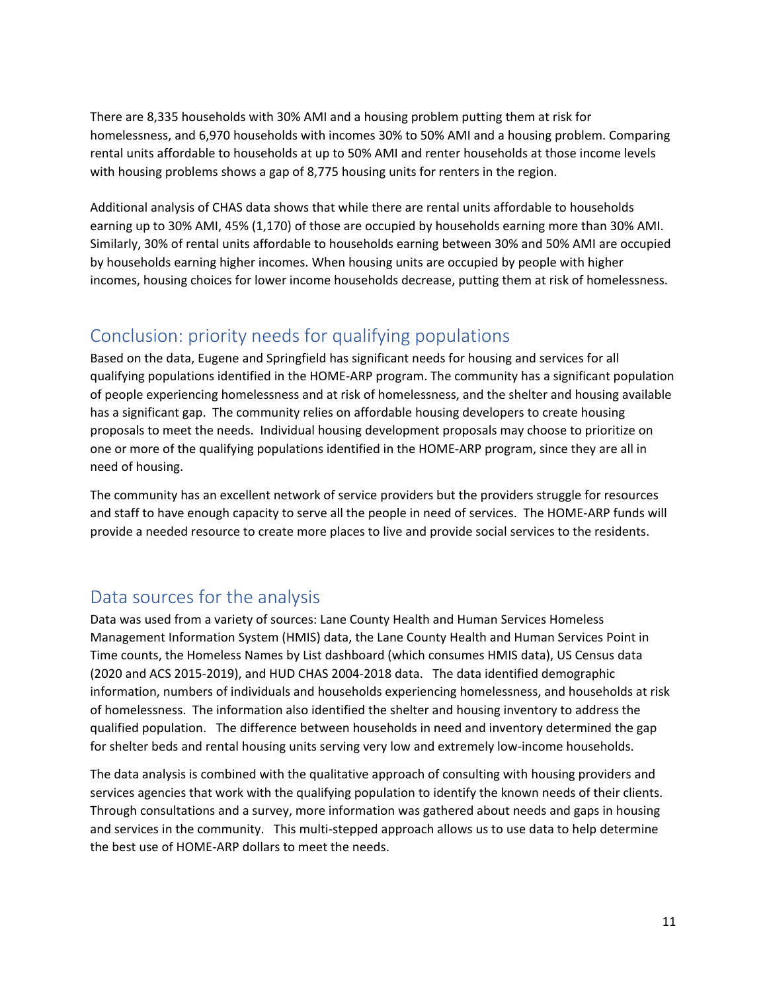There are 8,335 households with 30% AMI and a housing problem putting them at risk for homelessness, and 6,970 households with incomes 30% to 50% AMI and a housing problem. Comparing rental units affordable to households at up to 50% AMI and renter households at those income levels with housing problems shows a gap of 8,775 housing units for renters in the region.

Additional analysis of CHAS data shows that while there are rental units affordable to households earning up to 30% AMI, 45% (1,170) of those are occupied by households earning more than 30% AMI. Similarly, 30% of rental units affordable to households earning between 30% and 50% AMI are occupied by households earning higher incomes. When housing units are occupied by people with higher incomes, housing choices for lower income households decrease, putting them at risk of homelessness.

## Conclusion: priority needs for qualifying populations

Based on the data, Eugene and Springfield has significant needs for housing and services for all qualifying populations identified in the HOME-ARP program. The community has a significant population of people experiencing homelessness and at risk of homelessness, and the shelter and housing available has a significant gap. The community relies on affordable housing developers to create housing proposals to meet the needs. Individual housing development proposals may choose to prioritize on one or more of the qualifying populations identified in the HOME-ARP program, since they are all in need of housing.

The community has an excellent network of service providers but the providers struggle for resources and staff to have enough capacity to serve all the people in need of services. The HOME-ARP funds will provide a needed resource to create more places to live and provide social services to the residents.

## Data sources for the analysis

Data was used from a variety of sources: Lane County Health and Human Services Homeless Management Information System (HMIS) data, the Lane County Health and Human Services Point in Time counts, the Homeless Names by List dashboard (which consumes HMIS data), US Census data (2020 and ACS 2015-2019), and HUD CHAS 2004-2018 data. The data identified demographic information, numbers of individuals and households experiencing homelessness, and households at risk of homelessness. The information also identified the shelter and housing inventory to address the qualified population. The difference between households in need and inventory determined the gap for shelter beds and rental housing units serving very low and extremely low-income households.

The data analysis is combined with the qualitative approach of consulting with housing providers and services agencies that work with the qualifying population to identify the known needs of their clients. Through consultations and a survey, more information was gathered about needs and gaps in housing and services in the community. This multi-stepped approach allows us to use data to help determine the best use of HOME-ARP dollars to meet the needs.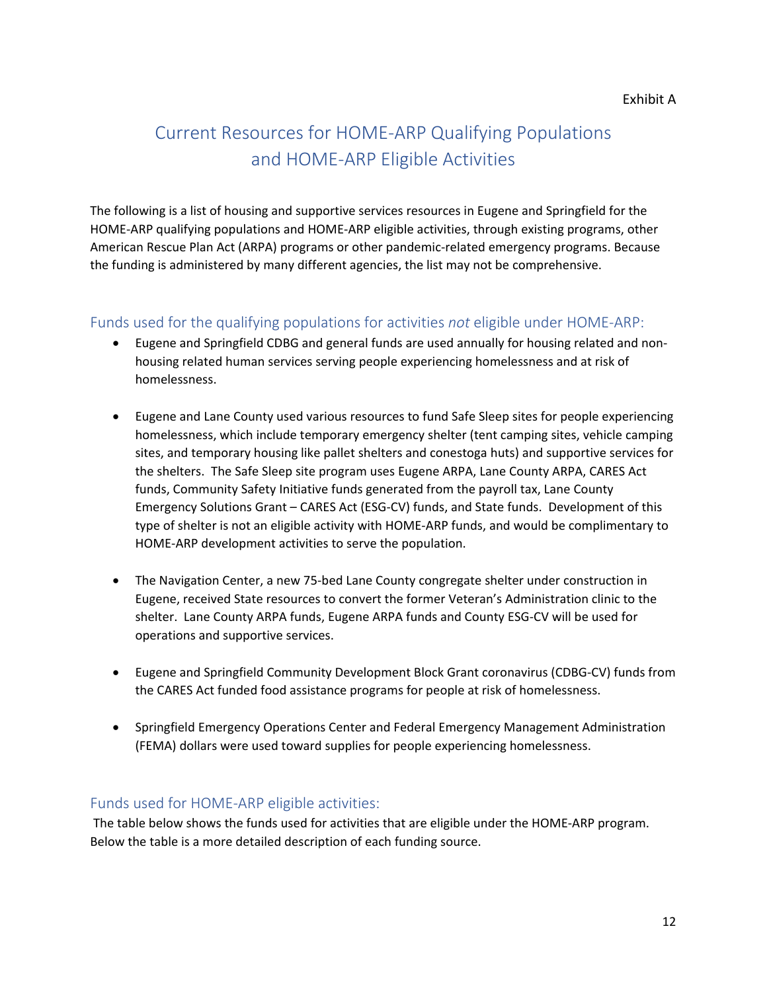# Current Resources for HOME-ARP Qualifying Populations and HOME-ARP Eligible Activities

The following is a list of housing and supportive services resources in Eugene and Springfield for the HOME-ARP qualifying populations and HOME-ARP eligible activities, through existing programs, other American Rescue Plan Act (ARPA) programs or other pandemic-related emergency programs. Because the funding is administered by many different agencies, the list may not be comprehensive.

## Funds used for the qualifying populations for activities *not* eligible under HOME-ARP:

- Eugene and Springfield CDBG and general funds are used annually for housing related and nonhousing related human services serving people experiencing homelessness and at risk of homelessness.
- Eugene and Lane County used various resources to fund Safe Sleep sites for people experiencing homelessness, which include temporary emergency shelter (tent camping sites, vehicle camping sites, and temporary housing like pallet shelters and conestoga huts) and supportive services for the shelters. The Safe Sleep site program uses Eugene ARPA, Lane County ARPA, CARES Act funds, Community Safety Initiative funds generated from the payroll tax, Lane County Emergency Solutions Grant – CARES Act (ESG-CV) funds, and State funds. Development of this type of shelter is not an eligible activity with HOME-ARP funds, and would be complimentary to HOME-ARP development activities to serve the population.
- The Navigation Center, a new 75-bed Lane County congregate shelter under construction in Eugene, received State resources to convert the former Veteran's Administration clinic to the shelter. Lane County ARPA funds, Eugene ARPA funds and County ESG-CV will be used for operations and supportive services.
- Eugene and Springfield Community Development Block Grant coronavirus (CDBG-CV) funds from the CARES Act funded food assistance programs for people at risk of homelessness.
- Springfield Emergency Operations Center and Federal Emergency Management Administration (FEMA) dollars were used toward supplies for people experiencing homelessness.

## Funds used for HOME-ARP eligible activities:

The table below shows the funds used for activities that are eligible under the HOME-ARP program. Below the table is a more detailed description of each funding source.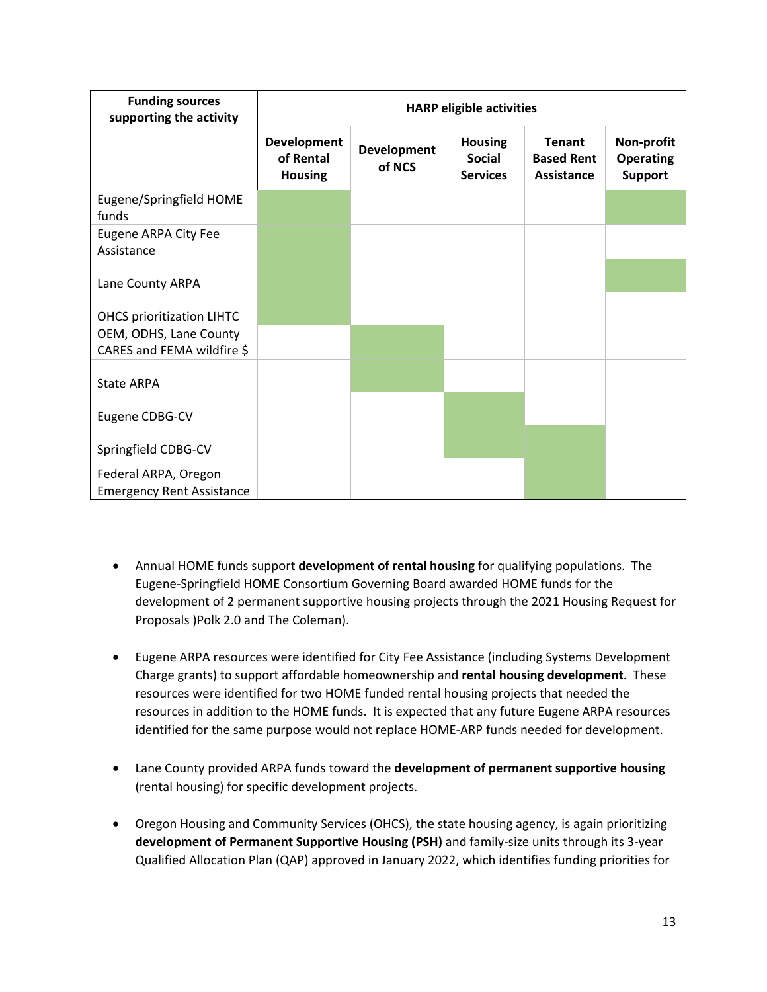| <b>Funding sources</b><br>supporting the activity        | <b>HARP eligible activities</b>                   |                              |                                                    |                                                  |                                                  |  |  |  |
|----------------------------------------------------------|---------------------------------------------------|------------------------------|----------------------------------------------------|--------------------------------------------------|--------------------------------------------------|--|--|--|
|                                                          | <b>Development</b><br>of Rental<br><b>Housing</b> | <b>Development</b><br>of NCS | <b>Housing</b><br><b>Social</b><br><b>Services</b> | <b>Tenant</b><br><b>Based Rent</b><br>Assistance | Non-profit<br><b>Operating</b><br><b>Support</b> |  |  |  |
| Eugene/Springfield HOME<br>funds                         |                                                   |                              |                                                    |                                                  |                                                  |  |  |  |
| Eugene ARPA City Fee<br>Assistance                       |                                                   |                              |                                                    |                                                  |                                                  |  |  |  |
| Lane County ARPA                                         |                                                   |                              |                                                    |                                                  |                                                  |  |  |  |
| <b>OHCS prioritization LIHTC</b>                         |                                                   |                              |                                                    |                                                  |                                                  |  |  |  |
| OEM, ODHS, Lane County<br>CARES and FEMA wildfire \$     |                                                   |                              |                                                    |                                                  |                                                  |  |  |  |
| <b>State ARPA</b>                                        |                                                   |                              |                                                    |                                                  |                                                  |  |  |  |
| Eugene CDBG-CV                                           |                                                   |                              |                                                    |                                                  |                                                  |  |  |  |
| Springfield CDBG-CV                                      |                                                   |                              |                                                    |                                                  |                                                  |  |  |  |
| Federal ARPA, Oregon<br><b>Emergency Rent Assistance</b> |                                                   |                              |                                                    |                                                  |                                                  |  |  |  |

- Annual HOME funds support **development of rental housing** for qualifying populations. The Eugene-Springfield HOME Consortium Governing Board awarded HOME funds for the development of 2 permanent supportive housing projects through the 2021 Housing Request for Proposals )Polk 2.0 and The Coleman).
- Eugene ARPA resources were identified for City Fee Assistance (including Systems Development Charge grants) to support affordable homeownership and **rental housing development**. These resources were identified for two HOME funded rental housing projects that needed the resources in addition to the HOME funds. It is expected that any future Eugene ARPA resources identified for the same purpose would not replace HOME-ARP funds needed for development.
- Lane County provided ARPA funds toward the **development of permanent supportive housing** (rental housing) for specific development projects.
- Oregon Housing and Community Services (OHCS), the state housing agency, is again prioritizing **development of Permanent Supportive Housing (PSH)** and family-size units through its 3-year Qualified Allocation Plan (QAP) approved in January 2022, which identifies funding priorities for